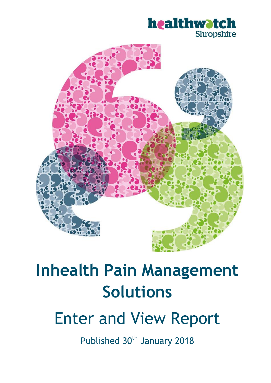



# **Inhealth Pain Management Solutions**

# Enter and View Report

Published 30<sup>th</sup> January 2018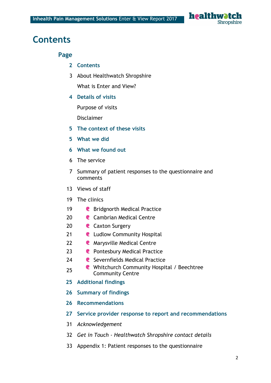

# **Contents**

**Page**

- **Contents**
- About Healthwatch Shropshire

What is Enter and View?

**Details of visits**

Purpose of visits

Disclaimer

- **The context of these visits**
- **What we did**
- **What we found out**
- The service
- Summary of patient responses to the questionnaire and comments
- Views of staff
- The clinics
- **C** Bridgnorth Medical Practice
- **C** Cambrian Medical Centre
- **C** Caxton Surgery
- **Ludlow Community Hospital**
- **C** Marysville Medical Centre
- **Pontesbury Medical Practice**
- **C** Severnfields Medical Practice
- 25 Whitchurch Community Hospital / Beechtree Community Centre
- **Additional findings**
- **Summary of findings**
- **Recommendations**
- **Service provider response to report and recommendations**
- *Acknowledgement*
- *Get in Touch - Healthwatch Shropshire contact details*
- Appendix 1: Patient responses to the questionnaire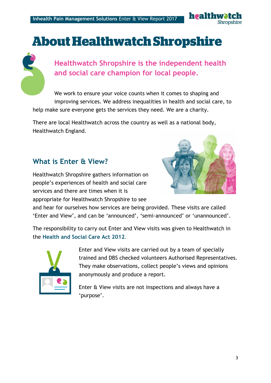

# **About Healthwatch Shropshire**



# **Healthwatch Shropshire is the independent health and social care champion for local people.**

We work to ensure your voice counts when it comes to shaping and improving services. We address inequalities in health and social care, to help make sure everyone gets the services they need. We are a charity.

There are local Healthwatch across the country as well as a national body, Healthwatch England.

# **What is Enter & View?**

Healthwatch Shropshire gathers information on people's experiences of health and social care services and there are times when it is appropriate for Healthwatch Shropshire to see



and hear for ourselves how services are being provided. These visits are called 'Enter and View', and can be 'announced', 'semi-announced' or 'unannounced'.

The responsibility to carry out Enter and View visits was given to Healthwatch in the **Health and Social Care Act 2012**.



Enter and View visits are carried out by a team of specially trained and DBS checked volunteers Authorised Representatives. They make observations, collect people's views and opinions anonymously and produce a report.

Enter & View visits are not inspections and always have a 'purpose'.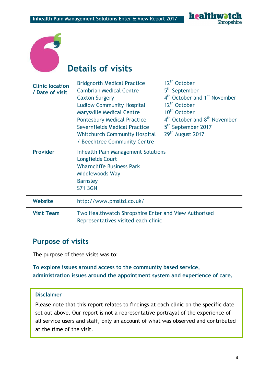healthw **Shropshire** 



# **Details of visits**

| <b>Clinic location</b><br>/ Date of visit | <b>Bridgnorth Medical Practice</b><br><b>Cambrian Medical Centre</b><br><b>Caxton Surgery</b><br><b>Ludlow Community Hospital</b><br><b>Marysville Medical Centre</b><br><b>Pontesbury Medical Practice</b><br>Severnfields Medical Practice<br><b>Whitchurch Community Hospital</b><br>/ Beechtree Community Centre | 12 <sup>th</sup> October<br>5 <sup>th</sup> September<br>4 <sup>th</sup> October and 1 <sup>st</sup> November<br>12 <sup>th</sup> October<br>10 <sup>th</sup> October<br>4 <sup>th</sup> October and 8 <sup>th</sup> November<br>5 <sup>th</sup> September 2017<br>29 <sup>th</sup> August 2017 |
|-------------------------------------------|----------------------------------------------------------------------------------------------------------------------------------------------------------------------------------------------------------------------------------------------------------------------------------------------------------------------|-------------------------------------------------------------------------------------------------------------------------------------------------------------------------------------------------------------------------------------------------------------------------------------------------|
| <b>Provider</b>                           | <b>Inhealth Pain Management Solutions</b><br><b>Longfields Court</b><br><b>Wharncliffe Business Park</b><br>Middlewoods Way<br><b>Barnsley</b><br><b>S71 3GN</b>                                                                                                                                                     |                                                                                                                                                                                                                                                                                                 |
| <b>Website</b>                            | http://www.pmsltd.co.uk/                                                                                                                                                                                                                                                                                             |                                                                                                                                                                                                                                                                                                 |
| <b>Visit Team</b>                         | Two Healthwatch Shropshire Enter and View Authorised<br>Representatives visited each clinic                                                                                                                                                                                                                          |                                                                                                                                                                                                                                                                                                 |

# **Purpose of visits**

The purpose of these visits was to:

## **To explore issues around access to the community based service, administration issues around the appointment system and experience of care.**

#### **Disclaimer**

Please note that this report relates to findings at each clinic on the specific date set out above. Our report is not a representative portrayal of the experience of all service users and staff, only an account of what was observed and contributed at the time of the visit.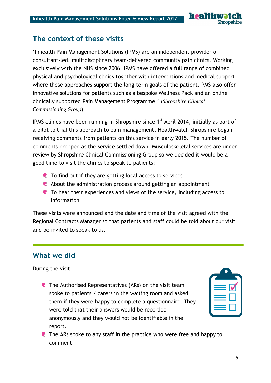

# **The context of these visits**

'Inhealth Pain Management Solutions (IPMS) are an independent provider of consultant-led, multidisciplinary team-delivered community pain clinics. Working exclusively with the NHS since 2006, IPMS have offered a full range of combined physical and psychological clinics together with interventions and medical support where these approaches support the long-term goals of the patient. PMS also offer innovative solutions for patients such as a bespoke Wellness Pack and an online clinically supported Pain Management Programme.' (*Shropshire Clinical Commissioning Group*)

IPMS clinics have been running in Shropshire since  $1<sup>st</sup>$  April 2014, initially as part of a pilot to trial this approach to pain management. Healthwatch Shropshire began receiving comments from patients on this service in early 2015. The number of comments dropped as the service settled down. Musculoskeletal services are under review by Shropshire Clinical Commissioning Group so we decided it would be a good time to visit the clinics to speak to patients:

- **C** To find out if they are getting local access to services
- About the administration process around getting an appointment
- To hear their experiences and views of the service, including access to information

These visits were announced and the date and time of the visit agreed with the Regional Contracts Manager so that patients and staff could be told about our visit and be invited to speak to us.

# **What we did**

During the visit

**C** The Authorised Representatives (ARs) on the visit team spoke to patients / carers in the waiting room and asked them if they were happy to complete a questionnaire. They were told that their answers would be recorded anonymously and they would not be identifiable in the report.

**C** The ARs spoke to any staff in the practice who were free and happy to comment.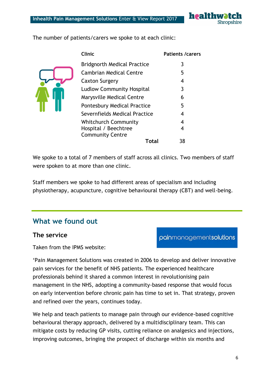

The number of patients/carers we spoke to at each clinic:



| <b>Clinic</b>                      | <b>Patients /carers</b> |
|------------------------------------|-------------------------|
| <b>Bridgnorth Medical Practice</b> | 3                       |
| <b>Cambrian Medical Centre</b>     | 5                       |
| Caxton Surgery                     | 4                       |
| <b>Ludlow Community Hospital</b>   | 3                       |
| <b>Marysville Medical Centre</b>   | 6                       |
| <b>Pontesbury Medical Practice</b> | 5                       |
| Severnfields Medical Practice      | 4                       |
| <b>Whitchurch Community</b>        | 4                       |
| Hospital / Beechtree               | 4                       |
| <b>Community Centre</b>            |                         |
| Total                              | 38                      |

We spoke to a total of 7 members of staff across all clinics. Two members of staff were spoken to at more than one clinic.

Staff members we spoke to had different areas of specialism and including physiotherapy, acupuncture, cognitive behavioural therapy (CBT) and well-being.

# **What we found out**

#### **The service**

Taken from the IPMS website:

'Pain Management Solutions was created in 2006 to develop and deliver innovative pain services for the benefit of NHS patients. The experienced healthcare professionals behind it shared a common interest in revolutionising pain management in the NHS, adopting a community-based response that would focus on early intervention before chronic pain has time to set in. That strategy, proven and refined over the years, continues today.

We help and teach patients to manage pain through our evidence-based cognitive behavioural therapy approach, delivered by a multidisciplinary team. This can mitigate costs by reducing GP visits, cutting reliance on analgesics and injections, improving outcomes, bringing the prospect of discharge within six months and

painmanagementsolutions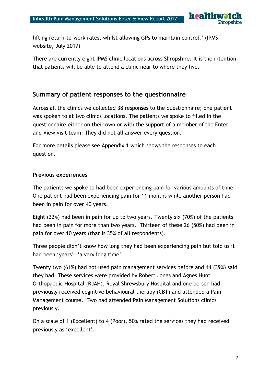healthy **Shropshire** 

lifting return-to-work rates, whilst allowing GPs to maintain control.' (IPMS website, July 2017)

There are currently eight IPMS clinic locations across Shropshire. It is the intention that patients will be able to attend a clinic near to where they live.

# **Summary of patient responses to the questionnaire**

Across all the clinics we collected 38 responses to the questionnaire; one patient was spoken to at two clinics locations. The patients we spoke to filled in the questionnaire either on their own or with the support of a member of the Enter and View visit team. They did not all answer every question.

For more details please see Appendix 1 which shows the responses to each question.

#### **Previous experiences**

The patients we spoke to had been experiencing pain for various amounts of time. One patient had been experiencing pain for 11 months while another person had been in pain for over 40 years.

Eight (22%) had been in pain for up to two years. Twenty six (70%) of the patients had been in pain for more than two years. Thirteen of these 26 (50%) had been in pain for over 10 years (that is 35% of all respondents).

Three people didn't know how long they had been experiencing pain but told us it had been 'years', 'a very long time'.

Twenty two (61%) had not used pain management services before and 14 (39%) said they had. These services were provided by Robert Jones and Agnes Hunt Orthopaedic Hospital (RJAH), Royal Shrewsbury Hospital and one person had previously received cognitive behavioural therapy (CBT) and attended a Pain Management course. Two had attended Pain Management Solutions clinics previously.

On a scale of 1 (Excellent) to 4 (Poor), 50% rated the services they had received previously as 'excellent'.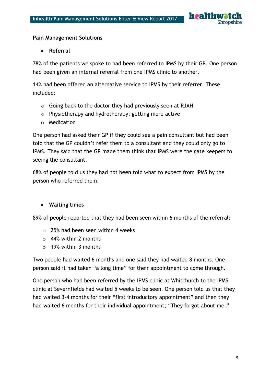

#### **Pain Management Solutions**

#### **Referral**

78% of the patients we spoke to had been referred to IPMS by their GP. One person had been given an internal referral from one IPMS clinic to another.

14% had been offered an alternative service to IPMS by their referrer. These included:

- o Going back to the doctor they had previously seen at RJAH
- o Physiotherapy and hydrotherapy; getting more active
- o Medication

One person had asked their GP if they could see a pain consultant but had been told that the GP couldn't refer them to a consultant and they could only go to IPMS. They said that the GP made them think that IPMS were the gate keepers to seeing the consultant.

68% of people told us they had not been told what to expect from IPMS by the person who referred them.

#### **Waiting times**

89% of people reported that they had been seen within 6 months of the referral:

- o 25% had been seen within 4 weeks
- o 44% within 2 months
- o 19% within 3 months

Two people had waited 6 months and one said they had waited 8 months. One person said it had taken "a long time" for their appointment to come through.

One person who had been referred by the IPMS clinic at Whitchurch to the IPMS clinic at Severnfields had waited 5 weeks to be seen. One person told us that they had waited 3-4 months for their "first introductory appointment" and then they had waited 6 months for their individual appointment; "They forgot about me."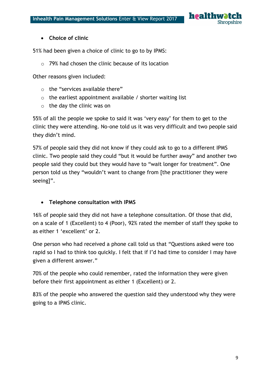

#### **Choice of clinic**

51% had been given a choice of clinic to go to by IPMS:

o 79% had chosen the clinic because of its location

Other reasons given included:

- o the "services available there"
- $\circ$  the earliest appointment available / shorter waiting list
- o the day the clinic was on

55% of all the people we spoke to said it was 'very easy' for them to get to the clinic they were attending. No-one told us it was very difficult and two people said they didn't mind.

57% of people said they did not know if they could ask to go to a different IPMS clinic. Two people said they could "but it would be further away" and another two people said they could but they would have to "wait longer for treatment". One person told us they "wouldn't want to change from [the practitioner they were seeing]".

#### **Telephone consultation with IPMS**

16% of people said they did not have a telephone consultation. Of those that did, on a scale of 1 (Excellent) to 4 (Poor), 92% rated the member of staff they spoke to as either 1 'excellent' or 2.

One person who had received a phone call told us that "Questions asked were too rapid so I had to think too quickly. I felt that if I'd had time to consider I may have given a different answer."

70% of the people who could remember, rated the information they were given before their first appointment as either 1 (Excellent) or 2.

83% of the people who answered the question said they understood why they were going to a IPMS clinic.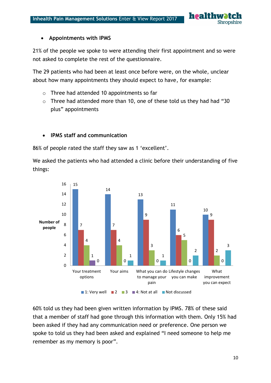

#### **Appointments with IPMS**

21% of the people we spoke to were attending their first appointment and so were not asked to complete the rest of the questionnaire.

The 29 patients who had been at least once before were, on the whole, unclear about how many appointments they should expect to have, for example:

- o Three had attended 10 appointments so far
- o Three had attended more than 10, one of these told us they had had "30 plus" appointments

#### **IPMS staff and communication**

86% of people rated the staff they saw as 1 'excellent'.

We asked the patients who had attended a clinic before their understanding of five things:



60% told us they had been given written information by IPMS. 78% of these said that a member of staff had gone through this information with them. Only 15% had been asked if they had any communication need or preference. One person we spoke to told us they had been asked and explained "I need someone to help me remember as my memory is poor".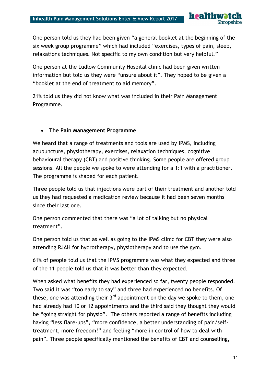One person told us they had been given "a general booklet at the beginning of the six week group programme" which had included "exercises, types of pain, sleep, relaxations techniques. Not specific to my own condition but very helpful."

health

Shropshire

One person at the Ludlow Community Hospital clinic had been given written information but told us they were "unsure about it". They hoped to be given a "booklet at the end of treatment to aid memory".

21% told us they did not know what was included in their Pain Management Programme.

#### **The Pain Management Programme**

We heard that a range of treatments and tools are used by IPMS, including acupuncture, physiotherapy, exercises, relaxation techniques, cognitive behavioural therapy (CBT) and positive thinking. Some people are offered group sessions. All the people we spoke to were attending for a 1:1 with a practitioner. The programme is shaped for each patient.

Three people told us that injections were part of their treatment and another told us they had requested a medication review because it had been seven months since their last one.

One person commented that there was "a lot of talking but no physical treatment".

One person told us that as well as going to the IPMS clinic for CBT they were also attending RJAH for hydrotherapy, physiotherapy and to use the gym.

61% of people told us that the IPMS programme was what they expected and three of the 11 people told us that it was better than they expected.

When asked what benefits they had experienced so far, twenty people responded. Two said it was "too early to say" and three had experienced no benefits. Of these, one was attending their  $3<sup>rd</sup>$  appointment on the day we spoke to them, one had already had 10 or 12 appointments and the third said they thought they would be "going straight for physio". The others reported a range of benefits including having "less flare-ups", "more confidence, a better understanding of pain/selftreatment, more freedom!" and feeling "more in control of how to deal with pain". Three people specifically mentioned the benefits of CBT and counselling,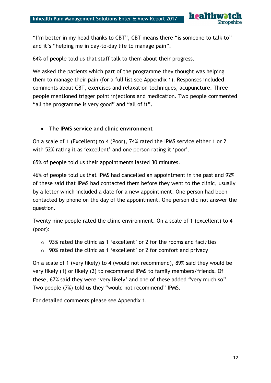

"I'm better in my head thanks to CBT", CBT means there "is someone to talk to" and it's "helping me in day-to-day life to manage pain".

64% of people told us that staff talk to them about their progress.

We asked the patients which part of the programme they thought was helping them to manage their pain (for a full list see Appendix 1). Responses included comments about CBT, exercises and relaxation techniques, acupuncture. Three people mentioned trigger point injections and medication. Two people commented "all the programme is very good" and "all of it".

#### **The IPMS service and clinic environment**

On a scale of 1 (Excellent) to 4 (Poor), 74% rated the IPMS service either 1 or 2 with 52% rating it as 'excellent' and one person rating it 'poor'.

65% of people told us their appointments lasted 30 minutes.

46% of people told us that IPMS had cancelled an appointment in the past and 92% of these said that IPMS had contacted them before they went to the clinic, usually by a letter which included a date for a new appointment. One person had been contacted by phone on the day of the appointment. One person did not answer the question.

Twenty nine people rated the clinic environment. On a scale of 1 (excellent) to 4 (poor):

- o 93% rated the clinic as 1 'excellent' or 2 for the rooms and facilities
- $\circ$  90% rated the clinic as 1 'excellent' or 2 for comfort and privacy

On a scale of 1 (very likely) to 4 (would not recommend), 89% said they would be very likely (1) or likely (2) to recommend IPMS to family members/friends. Of these, 67% said they were 'very likely' and one of these added "very much so". Two people (7%) told us they "would not recommend" IPMS.

For detailed comments please see Appendix 1.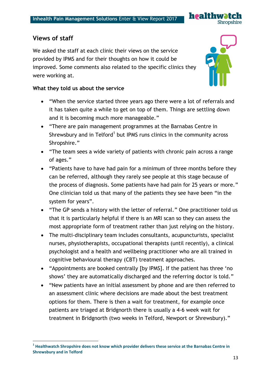

# **Views of staff**

**.** 

We asked the staff at each clinic their views on the service provided by IPMS and for their thoughts on how it could be improved. Some comments also related to the specific clinics they were working at.



#### **What they told us about the service**

- "When the service started three years ago there were a lot of referrals and it has taken quite a while to get on top of them. Things are settling down and it is becoming much more manageable."
- "There are pain management programmes at the Barnabas Centre in Shrewsbury and in Telford<sup>1</sup> but IPMS runs clinics in the community across Shropshire."
- "The team sees a wide variety of patients with chronic pain across a range of ages."
- "Patients have to have had pain for a minimum of three months before they can be referred, although they rarely see people at this stage because of the process of diagnosis. Some patients have had pain for 25 years or more." One clinician told us that many of the patients they see have been "in the system for years".
- "The GP sends a history with the letter of referral." One practitioner told us that it is particularly helpful if there is an MRI scan so they can assess the most appropriate form of treatment rather than just relying on the history.
- The multi-disciplinary team includes consultants, acupuncturists, specialist nurses, physiotherapists, occupational therapists (until recently), a clinical psychologist and a health and wellbeing practitioner who are all trained in cognitive behavioural therapy (CBT) treatment approaches.
- "Appointments are booked centrally [by IPMS]. If the patient has three 'no shows' they are automatically discharged and the referring doctor is told."
- "New patients have an initial assessment by phone and are then referred to an assessment clinic where decisions are made about the best treatment options for them. There is then a wait for treatment, for example once patients are triaged at Bridgnorth there is usually a 4-6 week wait for treatment in Bridgnorth (two weeks in Telford, Newport or Shrewsbury)."

**<sup>1</sup> Healthwatch Shropshire does not know which provider delivers these service at the Barnabas Centre in Shrewsbury and in Telford**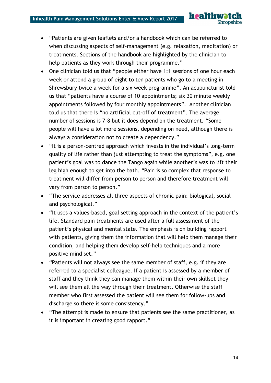- "Patients are given leaflets and/or a handbook which can be referred to when discussing aspects of self-management (e.g. relaxation, meditation) or treatments. Sections of the handbook are highlighted by the clinician to help patients as they work through their programme."
- One clinician told us that "people either have 1:1 sessions of one hour each week or attend a group of eight to ten patients who go to a meeting in Shrewsbury twice a week for a six week programme". An acupuncturist told us that "patients have a course of 10 appointments; six 30 minute weekly appointments followed by four monthly appointments". Another clinician told us that there is "no artificial cut-off of treatment". The average number of sessions is 7-8 but it does depend on the treatment. "Some people will have a lot more sessions, depending on need, although there is always a consideration not to create a dependency."
- "It is a person-centred approach which invests in the individual's long-term quality of life rather than just attempting to treat the symptoms", e.g. one patient's goal was to dance the Tango again while another's was to lift their leg high enough to get into the bath. "Pain is so complex that response to treatment will differ from person to person and therefore treatment will vary from person to person."
- "The service addresses all three aspects of chronic pain: biological, social and psychological."
- "It uses a values-based, goal setting approach in the context of the patient's life. Standard pain treatments are used after a full assessment of the patient's physical and mental state. The emphasis is on building rapport with patients, giving them the information that will help them manage their condition, and helping them develop self-help techniques and a more positive mind set."
- "Patients will not always see the same member of staff, e.g. if they are referred to a specialist colleague. If a patient is assessed by a member of staff and they think they can manage them within their own skillset they will see them all the way through their treatment. Otherwise the staff member who first assessed the patient will see them for follow-ups and discharge so there is some consistency."
- "The attempt is made to ensure that patients see the same practitioner, as it is important in creating good rapport."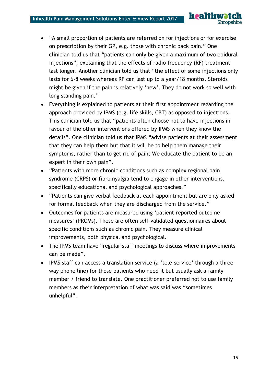"A small proportion of patients are referred on for injections or for exercise on prescription by their GP, e.g. those with chronic back pain." One clinician told us that "patients can only be given a maximum of two epidural injections", explaining that the effects of radio frequency (RF) treatment last longer. Another clinician told us that "the effect of some injections only lasts for 6-8 weeks whereas RF can last up to a year/18 months. Steroids might be given if the pain is relatively 'new'. They do not work so well with long standing pain."

healthw

**Shropshire** 

- Everything is explained to patients at their first appointment regarding the approach provided by IPMS (e.g. life skills, CBT) as opposed to injections. This clinician told us that "patients often choose not to have injections in favour of the other interventions offered by IPMS when they know the details". One clinician told us that IPMS "advise patients at their assessment that they can help them but that it will be to help them manage their symptoms, rather than to get rid of pain; We educate the patient to be an expert in their own pain".
- "Patients with more chronic conditions such as complex regional pain syndrome (CRPS) or fibromyalgia tend to engage in other interventions, specifically educational and psychological approaches."
- "Patients can give verbal feedback at each appointment but are only asked for formal feedback when they are discharged from the service."
- Outcomes for patients are measured using 'patient reported outcome measures' (PROMs). These are often self-validated questionnaires about specific conditions such as chronic pain. They measure clinical improvements, both physical and psychological.
- The IPMS team have "regular staff meetings to discuss where improvements can be made".
- IPMS staff can access a translation service (a 'tele-service' through a three way phone line) for those patients who need it but usually ask a family member / friend to translate. One practitioner preferred not to use family members as their interpretation of what was said was "sometimes unhelpful".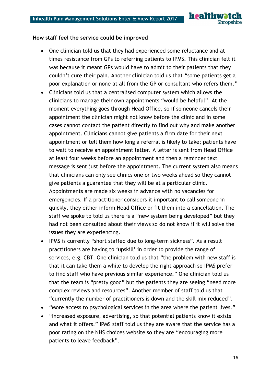

#### **How staff feel the service could be improved**

- One clinician told us that they had experienced some reluctance and at times resistance from GPs to referring patients to IPMS. This clinician felt it was because it meant GPs would have to admit to their patients that they couldn't cure their pain. Another clinician told us that "some patients get a poor explanation or none at all from the GP or consultant who refers them."
- Clinicians told us that a centralised computer system which allows the clinicians to manage their own appointments "would be helpful". At the moment everything goes through Head Office, so if someone cancels their appointment the clinician might not know before the clinic and in some cases cannot contact the patient directly to find out why and make another appointment. Clinicians cannot give patients a firm date for their next appointment or tell them how long a referral is likely to take; patients have to wait to receive an appointment letter. A letter is sent from Head Office at least four weeks before an appointment and then a reminder text message is sent just before the appointment. The current system also means that clinicians can only see clinics one or two weeks ahead so they cannot give patients a guarantee that they will be at a particular clinic. Appointments are made six weeks in advance with no vacancies for emergencies. If a practitioner considers it important to call someone in quickly, they either inform Head Office or fit them into a cancellation. The staff we spoke to told us there is a "new system being developed" but they had not been consulted about their views so do not know if it will solve the issues they are experiencing.
- IPMS is currently "short staffed due to long-term sickness". As a result practitioners are having to 'upskill' in order to provide the range of services, e.g. CBT. One clinician told us that "the problem with new staff is that it can take them a while to develop the right approach so IPMS prefer to find staff who have previous similar experience." One clinician told us that the team is "pretty good" but the patients they are seeing "need more complex reviews and resources". Another member of staff told us that "currently the number of practitioners is down and the skill mix reduced".
- "More access to psychological services in the area where the patient lives."
- "Increased exposure, advertising, so that potential patients know it exists and what it offers." IPMS staff told us they are aware that the service has a poor rating on the NHS choices website so they are "encouraging more patients to leave feedback".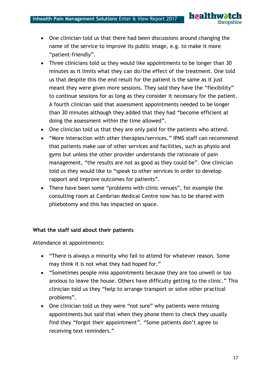

- One clinician told us that there had been discussions around changing the name of the service to improve its public image, e.g. to make it more "patient-friendly".
- Three clinicians told us they would like appointments to be longer than 30 minutes as it limits what they can do/the effect of the treatment. One told us that despite this the end result for the patient is the same as it just meant they were given more sessions. They said they have the "flexibility" to continue sessions for as long as they consider it necessary for the patient. A fourth clinician said that assessment appointments needed to be longer than 30 minutes although they added that they had "become efficient at doing the assessment within the time allowed".
- One clinician told us that they are only paid for the patients who attend.
- "More interaction with other therapies/services." IPMS staff can recommend that patients make use of other services and facilities, such as physio and gyms but unless the other provider understands the rationale of pain management, "the results are not as good as they could be". One clinician told us they would like to "speak to other services in order to develop rapport and improve outcomes for patients".
- There have been some "problems with clinic venues", for example the consulting room at Cambrian Medical Centre now has to be shared with phlebotomy and this has impacted on space.

#### **What the staff said about their patients**

Attendance at appointments:

- "There is always a minority who fail to attend for whatever reason. Some may think it is not what they had hoped for."
- "Sometimes people miss appointments because they are too unwell or too anxious to leave the house. Others have difficulty getting to the clinic." This clinician told us they "help to arrange transport or solve other practical problems".
- One clinician told us they were "not sure" why patients were missing appointments but said that when they phone them to check they usually find they "forgot their appointment". "Some patients don't agree to receiving text reminders."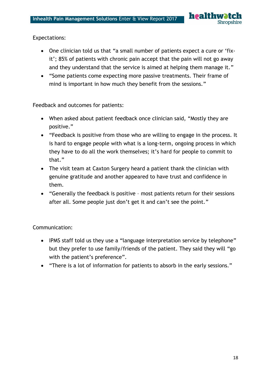#### Expectations:

- One clinician told us that "a small number of patients expect a cure or 'fixit'; 85% of patients with chronic pain accept that the pain will not go away and they understand that the service is aimed at helping them manage it."
- "Some patients come expecting more passive treatments. Their frame of mind is important in how much they benefit from the sessions."

Feedback and outcomes for patients:

- When asked about patient feedback once clinician said, "Mostly they are positive."
- "Feedback is positive from those who are willing to engage in the process. It is hard to engage people with what is a long-term, ongoing process in which they have to do all the work themselves; it's hard for people to commit to that."
- The visit team at Caxton Surgery heard a patient thank the clinician with genuine gratitude and another appeared to have trust and confidence in them.
- "Generally the feedback is positive most patients return for their sessions after all. Some people just don't get it and can't see the point."

#### Communication:

- IPMS staff told us they use a "language interpretation service by telephone" but they prefer to use family/friends of the patient. They said they will "go with the patient's preference".
- "There is a lot of information for patients to absorb in the early sessions."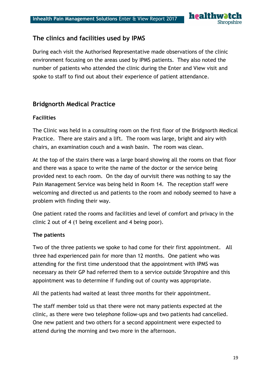

# **The clinics and facilities used by IPMS**

During each visit the Authorised Representative made observations of the clinic environment focusing on the areas used by IPMS patients. They also noted the number of patients who attended the clinic during the Enter and View visit and spoke to staff to find out about their experience of patient attendance.

## **Bridgnorth Medical Practice**

#### **Facilities**

The Clinic was held in a consulting room on the first floor of the Bridgnorth Medical Practice. There are stairs and a lift. The room was large, bright and airy with chairs, an examination couch and a wash basin. The room was clean.

At the top of the stairs there was a large board showing all the rooms on that floor and there was a space to write the name of the doctor or the service being provided next to each room. On the day of ourvisit there was nothing to say the Pain Management Service was being held in Room 14. The reception staff were welcoming and directed us and patients to the room and nobody seemed to have a problem with finding their way.

One patient rated the rooms and facilities and level of comfort and privacy in the clinic 2 out of 4 (1 being excellent and 4 being poor).

#### **The patients**

Two of the three patients we spoke to had come for their first appointment. All three had experienced pain for more than 12 months. One patient who was attending for the first time understood that the appointment with IPMS was necessary as their GP had referred them to a service outside Shropshire and this appointment was to determine if funding out of county was appropriate.

All the patients had waited at least three months for their appointment.

The staff member told us that there were not many patients expected at the clinic, as there were two telephone follow-ups and two patients had cancelled. One new patient and two others for a second appointment were expected to attend during the morning and two more in the afternoon.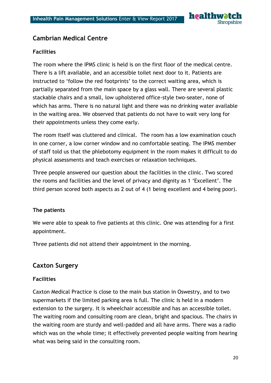

# **Cambrian Medical Centre**

#### **Facilities**

The room where the IPMS clinic is held is on the first floor of the medical centre. There is a lift available, and an accessible toilet next door to it. Patients are instructed to 'follow the red footprints' to the correct waiting area, which is partially separated from the main space by a glass wall. There are several plastic stackable chairs and a small, low upholstered office-style two-seater, none of which has arms. There is no natural light and there was no drinking water available in the waiting area. We observed that patients do not have to wait very long for their appointments unless they come early.

The room itself was cluttered and clinical. The room has a low examination couch in one corner, a low corner window and no comfortable seating. The IPMS member of staff told us that the phlebotomy equipment in the room makes it difficult to do physical assessments and teach exercises or relaxation techniques.

Three people answered our question about the facilities in the clinic. Two scored the rooms and facilities and the level of privacy and dignity as 1 'Excellent'. The third person scored both aspects as 2 out of 4 (1 being excellent and 4 being poor).

#### **The patients**

We were able to speak to five patients at this clinic. One was attending for a first appointment.

Three patients did not attend their appointment in the morning.

# **Caxton Surgery**

#### **Facilities**

Caxton Medical Practice is close to the main bus station in Oswestry, and to two supermarkets if the limited parking area is full. The clinic is held in a modern extension to the surgery. It is wheelchair accessible and has an accessible toilet. The waiting room and consulting room are clean, bright and spacious. The chairs in the waiting room are sturdy and well-padded and all have arms. There was a radio which was on the whole time; it effectively prevented people waiting from hearing what was being said in the consulting room.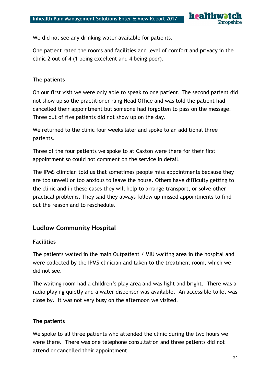

We did not see any drinking water available for patients.

One patient rated the rooms and facilities and level of comfort and privacy in the clinic 2 out of 4 (1 being excellent and 4 being poor).

#### **The patients**

On our first visit we were only able to speak to one patient. The second patient did not show up so the practitioner rang Head Office and was told the patient had cancelled their appointment but someone had forgotten to pass on the message. Three out of five patients did not show up on the day.

We returned to the clinic four weeks later and spoke to an additional three patients.

Three of the four patients we spoke to at Caxton were there for their first appointment so could not comment on the service in detail.

The IPMS clinician told us that sometimes people miss appointments because they are too unwell or too anxious to leave the house. Others have difficulty getting to the clinic and in these cases they will help to arrange transport, or solve other practical problems. They said they always follow up missed appointments to find out the reason and to reschedule.

# **Ludlow Community Hospital**

#### **Facilities**

The patients waited in the main Outpatient / MIU waiting area in the hospital and were collected by the IPMS clinician and taken to the treatment room, which we did not see.

The waiting room had a children's play area and was light and bright. There was a radio playing quietly and a water dispenser was available. An accessible toilet was close by. It was not very busy on the afternoon we visited.

#### **The patients**

We spoke to all three patients who attended the clinic during the two hours we were there. There was one telephone consultation and three patients did not attend or cancelled their appointment.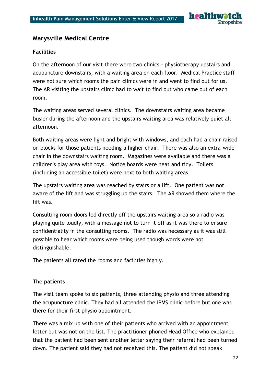

# **Marysville Medical Centre**

#### **Facilities**

On the afternoon of our visit there were two clinics - physiotherapy upstairs and acupuncture downstairs, with a waiting area on each floor. Medical Practice staff were not sure which rooms the pain clinics were in and went to find out for us. The AR visiting the upstairs clinic had to wait to find out who came out of each room.

The waiting areas served several clinics. The downstairs waiting area became busier during the afternoon and the upstairs waiting area was relatively quiet all afternoon.

Both waiting areas were light and bright with windows, and each had a chair raised on blocks for those patients needing a higher chair. There was also an extra-wide chair in the downstairs waiting room. Magazines were available and there was a children's play area with toys. Notice boards were neat and tidy. Toilets (including an accessible toilet) were next to both waiting areas.

The upstairs waiting area was reached by stairs or a lift. One patient was not aware of the lift and was struggling up the stairs. The AR showed them where the lift was.

Consulting room doors led directly off the upstairs waiting area so a radio was playing quite loudly, with a message not to turn it off as it was there to ensure confidentiality in the consulting rooms. The radio was necessary as it was still possible to hear which rooms were being used though words were not distinguishable.

The patients all rated the rooms and facilities highly.

#### **The patients**

The visit team spoke to six patients, three attending physio and three attending the acupuncture clinic. They had all attended the IPMS clinic before but one was there for their first physio appointment.

There was a mix up with one of their patients who arrived with an appointment letter but was not on the list. The practitioner phoned Head Office who explained that the patient had been sent another letter saying their referral had been turned down. The patient said they had not received this. The patient did not speak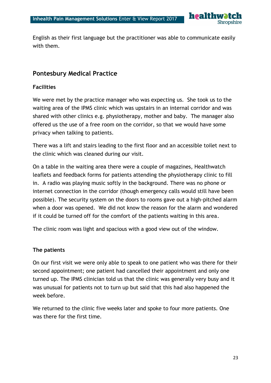

English as their first language but the practitioner was able to communicate easily with them.

# **Pontesbury Medical Practice**

#### **Facilities**

We were met by the practice manager who was expecting us. She took us to the waiting area of the IPMS clinic which was upstairs in an internal corridor and was shared with other clinics e.g. physiotherapy, mother and baby. The manager also offered us the use of a free room on the corridor, so that we would have some privacy when talking to patients.

There was a lift and stairs leading to the first floor and an accessible toilet next to the clinic which was cleaned during our visit.

On a table in the waiting area there were a couple of magazines, Healthwatch leaflets and feedback forms for patients attending the physiotherapy clinic to fill in. A radio was playing music softly in the background. There was no phone or internet connection in the corridor (though emergency calls would still have been possible). The security system on the doors to rooms gave out a high-pitched alarm when a door was opened. We did not know the reason for the alarm and wondered if it could be turned off for the comfort of the patients waiting in this area.

The clinic room was light and spacious with a good view out of the window.

#### **The patients**

On our first visit we were only able to speak to one patient who was there for their second appointment; one patient had cancelled their appointment and only one turned up. The IPMS clinician told us that the clinic was generally very busy and it was unusual for patients not to turn up but said that this had also happened the week before.

We returned to the clinic five weeks later and spoke to four more patients. One was there for the first time.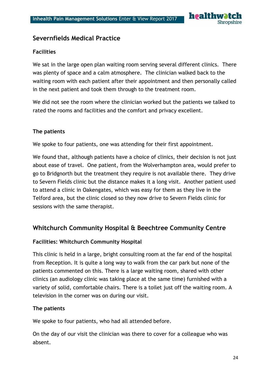

# **Severnfields Medical Practice**

#### **Facilities**

We sat in the large open plan waiting room serving several different clinics. There was plenty of space and a calm atmosphere. The clinician walked back to the waiting room with each patient after their appointment and then personally called in the next patient and took them through to the treatment room.

We did not see the room where the clinician worked but the patients we talked to rated the rooms and facilities and the comfort and privacy excellent.

#### **The patients**

We spoke to four patients, one was attending for their first appointment.

We found that, although patients have a choice of clinics, their decision is not just about ease of travel. One patient, from the Wolverhampton area, would prefer to go to Bridgnorth but the treatment they require is not available there. They drive to Severn Fields clinic but the distance makes it a long visit. Another patient used to attend a clinic in Oakengates, which was easy for them as they live in the Telford area, but the clinic closed so they now drive to Severn Fields clinic for sessions with the same therapist.

#### **Whitchurch Community Hospital & Beechtree Community Centre**

#### **Facilities: Whitchurch Community Hospital**

This clinic is held in a large, bright consulting room at the far end of the hospital from Reception. It is quite a long way to walk from the car park but none of the patients commented on this. There is a large waiting room, shared with other clinics (an audiology clinic was taking place at the same time) furnished with a variety of solid, comfortable chairs. There is a toilet just off the waiting room. A television in the corner was on during our visit.

#### **The patients**

We spoke to four patients, who had all attended before.

On the day of our visit the clinician was there to cover for a colleague who was absent.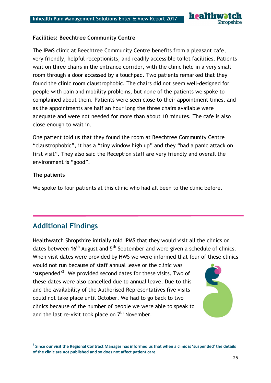

#### **Facilities: Beechtree Community Centre**

The IPMS clinic at Beechtree Community Centre benefits from a pleasant cafe, very friendly, helpful receptionists, and readily accessible toilet facilities. Patients wait on three chairs in the entrance corridor, with the clinic held in a very small room through a door accessed by a touchpad. Two patients remarked that they found the clinic room claustrophobic. The chairs did not seem well-designed for people with pain and mobility problems, but none of the patients we spoke to complained about them. Patients were seen close to their appointment times, and as the appointments are half an hour long the three chairs available were adequate and were not needed for more than about 10 minutes. The cafe is also close enough to wait in.

One patient told us that they found the room at Beechtree Community Centre "claustrophobic", it has a "tiny window high up" and they "had a panic attack on first visit". They also said the Reception staff are very friendly and overall the environment is "good".

#### **The patients**

**.** 

We spoke to four patients at this clinic who had all been to the clinic before.

# **Additional Findings**

Healthwatch Shropshire initially told IPMS that they would visit all the clinics on dates between  $16<sup>th</sup>$  August and  $5<sup>th</sup>$  September and were given a schedule of clinics. When visit dates were provided by HWS we were informed that four of these clinics

would not run because of staff annual leave or the clinic was 'suspended'<sup>2</sup>. We provided second dates for these visits. Two of these dates were also cancelled due to annual leave. Due to this and the availability of the Authorised Representatives five visits could not take place until October. We had to go back to two clinics because of the number of people we were able to speak to and the last re-visit took place on  $7<sup>th</sup>$  November.



**<sup>2</sup> Since our visit the Regional Contract Manager has informed us that when a clinic is 'suspended' the details of the clinic are not published and so does not affect patient care.**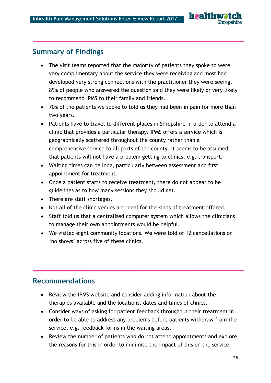# **Summary of Findings**

- The visit teams reported that the majority of patients they spoke to were very complimentary about the service they were receiving and most had developed very strong connections with the practitioner they were seeing. 89% of people who answered the question said they were likely or very likely to recommend IPMS to their family and friends.
- 70% of the patients we spoke to told us they had been in pain for more than two years.
- Patients have to travel to different places in Shropshire in order to attend a clinic that provides a particular therapy. IPMS offers a service which is geographically scattered throughout the county rather than a comprehensive service to all parts of the county. It seems to be assumed that patients will not have a problem getting to clinics, e.g. transport.
- Waiting times can be long, particularly between assessment and first appointment for treatment.
- Once a patient starts to receive treatment, there do not appear to be guidelines as to how many sessions they should get.
- There are staff shortages.
- Not all of the clinic venues are ideal for the kinds of treatment offered.
- Staff told us that a centralised computer system which allows the clinicians to manage their own appointments would be helpful.
- We visited eight community locations. We were told of 12 cancellations or 'no shows' across five of these clinics.

# **Recommendations**

- Review the IPMS website and consider adding information about the therapies available and the locations, dates and times of clinics.
- Consider ways of asking for patient feedback throughout their treatment in order to be able to address any problems before patients withdraw from the service, e.g. feedback forms in the waiting areas.
- Review the number of patients who do not attend appointments and explore the reasons for this in order to minimise the impact of this on the service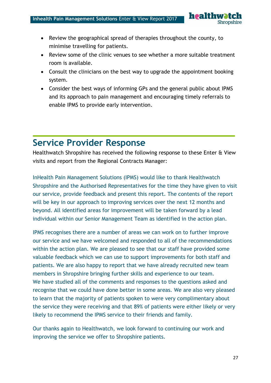- Review the geographical spread of therapies throughout the county, to minimise travelling for patients.
- Review some of the clinic venues to see whether a more suitable treatment room is available.
- Consult the clinicians on the best way to upgrade the appointment booking system.
- Consider the best ways of informing GPs and the general public about IPMS and its approach to pain management and encouraging timely referrals to enable IPMS to provide early intervention.

# **Service Provider Response**

Healthwatch Shropshire has received the following response to these Enter & View visits and report from the Regional Contracts Manager:

InHealth Pain Management Solutions (IPMS) would like to thank Healthwatch Shropshire and the Authorised Representatives for the time they have given to visit our service, provide feedback and present this report. The contents of the report will be key in our approach to improving services over the next 12 months and beyond. All identified areas for improvement will be taken forward by a lead individual within our Senior Management Team as identified in the action plan.

IPMS recognises there are a number of areas we can work on to further improve our service and we have welcomed and responded to all of the recommendations within the action plan. We are pleased to see that our staff have provided some valuable feedback which we can use to support improvements for both staff and patients. We are also happy to report that we have already recruited new team members in Shropshire bringing further skills and experience to our team. We have studied all of the comments and responses to the questions asked and recognise that we could have done better in some areas. We are also very pleased to learn that the majority of patients spoken to were very complimentary about the service they were receiving and that 89% of patients were either likely or very likely to recommend the IPMS service to their friends and family.

Our thanks again to Healthwatch, we look forward to continuing our work and improving the service we offer to Shropshire patients.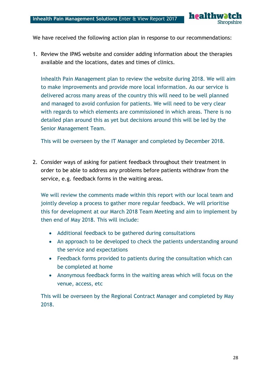

We have received the following action plan in response to our recommendations:

1. Review the IPMS website and consider adding information about the therapies available and the locations, dates and times of clinics.

Inhealth Pain Management plan to review the website during 2018. We will aim to make improvements and provide more local information. As our service is delivered across many areas of the country this will need to be well planned and managed to avoid confusion for patients. We will need to be very clear with regards to which elements are commissioned in which areas. There is no detailed plan around this as yet but decisions around this will be led by the Senior Management Team.

This will be overseen by the IT Manager and completed by December 2018.

2. Consider ways of asking for patient feedback throughout their treatment in order to be able to address any problems before patients withdraw from the service, e.g. feedback forms in the waiting areas.

We will review the comments made within this report with our local team and jointly develop a process to gather more regular feedback. We will prioritise this for development at our March 2018 Team Meeting and aim to implement by then end of May 2018. This will include:

- Additional feedback to be gathered during consultations
- An approach to be developed to check the patients understanding around the service and expectations
- Feedback forms provided to patients during the consultation which can be completed at home
- Anonymous feedback forms in the waiting areas which will focus on the venue, access, etc

This will be overseen by the Regional Contract Manager and completed by May 2018.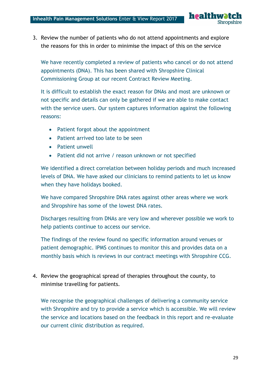healthw **Shropshire** 

3. Review the number of patients who do not attend appointments and explore the reasons for this in order to minimise the impact of this on the service

We have recently completed a review of patients who cancel or do not attend appointments (DNA). This has been shared with Shropshire Clinical Commissioning Group at our recent Contract Review Meeting.

It is difficult to establish the exact reason for DNAs and most are unknown or not specific and details can only be gathered if we are able to make contact with the service users. Our system captures information against the following reasons:

- Patient forgot about the appointment
- Patient arrived too late to be seen
- Patient unwell
- Patient did not arrive / reason unknown or not specified

We identified a direct correlation between holiday periods and much increased levels of DNA. We have asked our clinicians to remind patients to let us know when they have holidays booked.

We have compared Shropshire DNA rates against other areas where we work and Shropshire has some of the lowest DNA rates.

Discharges resulting from DNAs are very low and wherever possible we work to help patients continue to access our service.

The findings of the review found no specific information around venues or patient demographic. IPMS continues to monitor this and provides data on a monthly basis which is reviews in our contract meetings with Shropshire CCG.

4. Review the geographical spread of therapies throughout the county, to minimise travelling for patients.

We recognise the geographical challenges of delivering a community service with Shropshire and try to provide a service which is accessible. We will review the service and locations based on the feedback in this report and re-evaluate our current clinic distribution as required.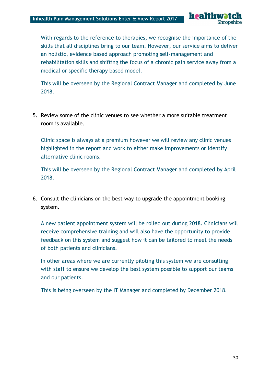healthw **Shropshire** 

With regards to the reference to therapies, we recognise the importance of the skills that all disciplines bring to our team. However, our service aims to deliver an holistic, evidence based approach promoting self-management and rehabilitation skills and shifting the focus of a chronic pain service away from a medical or specific therapy based model.

This will be overseen by the Regional Contract Manager and completed by June 2018.

5. Review some of the clinic venues to see whether a more suitable treatment room is available.

Clinic space is always at a premium however we will review any clinic venues highlighted in the report and work to either make improvements or identify alternative clinic rooms.

This will be overseen by the Regional Contract Manager and completed by April 2018.

6. Consult the clinicians on the best way to upgrade the appointment booking system.

A new patient appointment system will be rolled out during 2018. Clinicians will receive comprehensive training and will also have the opportunity to provide feedback on this system and suggest how it can be tailored to meet the needs of both patients and clinicians.

In other areas where we are currently piloting this system we are consulting with staff to ensure we develop the best system possible to support our teams and our patients.

This is being overseen by the IT Manager and completed by December 2018.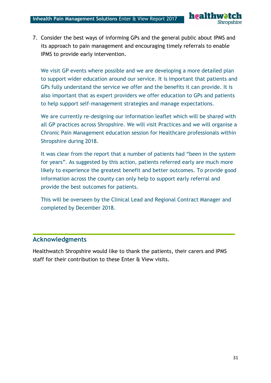

7. Consider the best ways of informing GPs and the general public about IPMS and its approach to pain management and encouraging timely referrals to enable IPMS to provide early intervention.

We visit GP events where possible and we are developing a more detailed plan to support wider education around our service. It is important that patients and GPs fully understand the service we offer and the benefits it can provide. It is also important that as expert providers we offer education to GPs and patients to help support self-management strategies and manage expectations.

We are currently re-designing our information leaflet which will be shared with all GP practices across Shropshire. We will visit Practices and we will organise a Chronic Pain Management education session for Healthcare professionals within Shropshire during 2018.

It was clear from the report that a number of patients had "been in the system for years". As suggested by this action, patients referred early are much more likely to experience the greatest benefit and better outcomes. To provide good information across the county can only help to support early referral and provide the best outcomes for patients.

This will be overseen by the Clinical Lead and Regional Contract Manager and completed by December 2018.

# **Acknowledgments**

Healthwatch Shropshire would like to thank the patients, their carers and IPMS staff for their contribution to these Enter & View visits.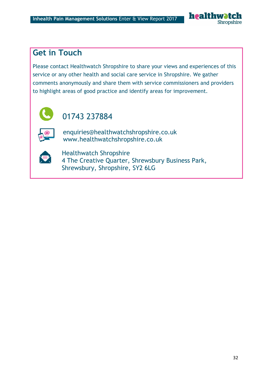

# **Get in Touch**

Please contact Healthwatch Shropshire to share your views and experiences of this service or any other health and social care service in Shropshire. We gather comments anonymously and share them with service commissioners and providers to highlight areas of good practice and identify areas for improvement.



# 01743 237884

enquiries@healthwatchshropshire.co.uk www.healthwatchshropshire.co.uk



Healthwatch Shropshire 4 The Creative Quarter, Shrewsbury Business Park, Shrewsbury, Shropshire, SY2 6LG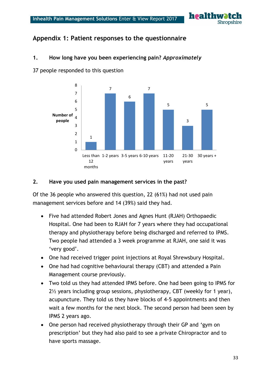

# Appendix 1: Patient responses to the questionnaire

#### **1. How long have you been experiencing pain?** *Approximately*

37 people responded to this question



#### **2. Have you used pain management services in the past?**

Of the 36 people who answered this question, 22 (61%) had not used pain management services before and 14 (39%) said they had.

- Five had attended Robert Jones and Agnes Hunt (RJAH) Orthopaedic Hospital. One had been to RJAH for 7 years where they had occupational therapy and physiotherapy before being discharged and referred to IPMS. Two people had attended a 3 week programme at RJAH, one said it was 'very good'.
- One had received trigger point injections at Royal Shrewsbury Hospital.
- One had had cognitive behavioural therapy (CBT) and attended a Pain Management course previously.
- Two told us they had attended IPMS before. One had been going to IPMS for 2½ years including group sessions, physiotherapy, CBT (weekly for 1 year), acupuncture. They told us they have blocks of 4-5 appointments and then wait a few months for the next block. The second person had been seen by IPMS 2 years ago.
- One person had received physiotherapy through their GP and 'gym on prescription' but they had also paid to see a private Chiropractor and to have sports massage.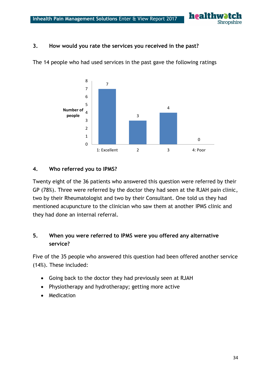

#### **3. How would you rate the services you received in the past?**



The 14 people who had used services in the past gave the following ratings

#### **4. Who referred you to IPMS?**

Twenty eight of the 36 patients who answered this question were referred by their GP (78%). Three were referred by the doctor they had seen at the RJAH pain clinic, two by their Rheumatologist and two by their Consultant. One told us they had mentioned acupuncture to the clinician who saw them at another IPMS clinic and they had done an internal referral.

## **5. When you were referred to IPMS were you offered any alternative service?**

Five of the 35 people who answered this question had been offered another service (14%). These included:

- Going back to the doctor they had previously seen at RJAH
- Physiotherapy and hydrotherapy; getting more active
- Medication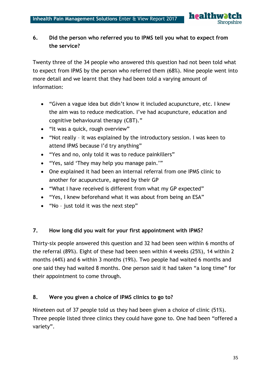

# **6. Did the person who referred you to IPMS tell you what to expect from the service?**

Twenty three of the 34 people who answered this question had not been told what to expect from IPMS by the person who referred them (68%). Nine people went into more detail and we learnt that they had been told a varying amount of information:

- "Given a vague idea but didn't know it included acupuncture, etc. I knew the aim was to reduce medication. I've had acupuncture, education and cognitive behavioural therapy (CBT)."
- "It was a quick, rough overview"
- "Not really it was explained by the introductory session. I was keen to attend IPMS because I'd try anything"
- "Yes and no, only told it was to reduce painkillers"
- "Yes, said 'They may help you manage pain.'"
- One explained it had been an internal referral from one IPMS clinic to another for acupuncture, agreed by their GP
- "What I have received is different from what my GP expected"
- "Yes, I knew beforehand what it was about from being an ESA"
- "No just told it was the next step"

#### **7. How long did you wait for your first appointment with IPMS?**

Thirty-six people answered this question and 32 had been seen within 6 months of the referral (89%). Eight of these had been seen within 4 weeks (25%), 14 within 2 months (44%) and 6 within 3 months (19%). Two people had waited 6 months and one said they had waited 8 months. One person said it had taken "a long time" for their appointment to come through.

#### **8. Were you given a choice of IPMS clinics to go to?**

Nineteen out of 37 people told us they had been given a choice of clinic (51%). Three people listed three clinics they could have gone to. One had been "offered a variety".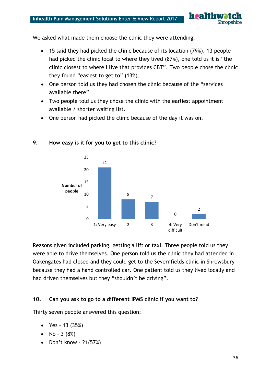healthw **Shropshire** 

We asked what made them choose the clinic they were attending:

- 15 said they had picked the clinic because of its location (79%). 13 people had picked the clinic local to where they lived (87%), one told us it is "the clinic closest to where I live that provides CBT". Two people chose the clinic they found "easiest to get to" (13%).
- One person told us they had chosen the clinic because of the "services available there".
- Two people told us they chose the clinic with the earliest appointment available / shorter waiting list.
- One person had picked the clinic because of the day it was on.



#### **9. How easy is it for you to get to this clinic?**

Reasons given included parking, getting a lift or taxi. Three people told us they were able to drive themselves. One person told us the clinic they had attended in Oakengates had closed and they could get to the Severnfields clinic in Shrewsbury because they had a hand controlled car. One patient told us they lived locally and had driven themselves but they "shouldn't be driving".

#### **10. Can you ask to go to a different IPMS clinic if you want to?**

Thirty seven people answered this question:

- Yes 13  $(35%)$
- No  $3(8%)$
- Don't know  $21(57%)$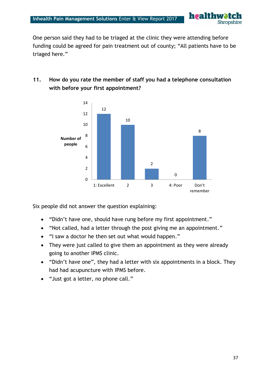One person said they had to be triaged at the clinic they were attending before funding could be agreed for pain treatment out of county; "All patients have to be triaged here."

**healthw** 

Shropshire

# **11. How do you rate the member of staff you had a telephone consultation with before your first appointment?**



Six people did not answer the question explaining:

- "Didn't have one, should have rung before my first appointment."
- "Not called, had a letter through the post giving me an appointment."
- "I saw a doctor he then set out what would happen."
- They were just called to give them an appointment as they were already going to another IPMS clinic.
- "Didn't have one", they had a letter with six appointments in a block. They had had acupuncture with IPMS before.
- "Just got a letter, no phone call."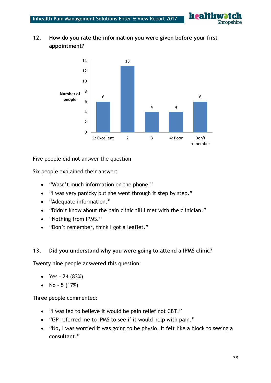**healthw Shropshire** 

# **12. How do you rate the information you were given before your first appointment?**



Five people did not answer the question

Six people explained their answer:

- "Wasn't much information on the phone."
- "I was very panicky but she went through it step by step."
- "Adequate information."
- "Didn't know about the pain clinic till I met with the clinician."
- "Nothing from IPMS."
- "Don't remember, think I got a leaflet."

#### **13. Did you understand why you were going to attend a IPMS clinic?**

Twenty nine people answered this question:

- Yes 24  $(83%)$
- No  $5(17%)$

Three people commented:

- "I was led to believe it would be pain relief not CBT."
- "GP referred me to IPMS to see if it would help with pain."
- "No, I was worried it was going to be physio, it felt like a block to seeing a consultant."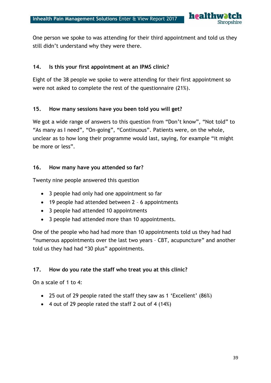

One person we spoke to was attending for their third appointment and told us they still didn't understand why they were there.

#### **14. Is this your first appointment at an IPMS clinic?**

Eight of the 38 people we spoke to were attending for their first appointment so were not asked to complete the rest of the questionnaire (21%).

#### **15. How many sessions have you been told you will get?**

We got a wide range of answers to this question from "Don't know", "Not told" to "As many as I need", "On-going", "Continuous". Patients were, on the whole, unclear as to how long their programme would last, saying, for example "it might be more or less".

#### **16. How many have you attended so far?**

Twenty nine people answered this question

- 3 people had only had one appointment so far
- 19 people had attended between 2 6 appointments
- 3 people had attended 10 appointments
- 3 people had attended more than 10 appointments.

One of the people who had had more than 10 appointments told us they had had "numerous appointments over the last two years – CBT, acupuncture" and another told us they had had "30 plus" appointments.

#### **17. How do you rate the staff who treat you at this clinic?**

On a scale of 1 to 4:

- 25 out of 29 people rated the staff they saw as 1 'Excellent' (86%)
- 4 out of 29 people rated the staff 2 out of 4 (14%)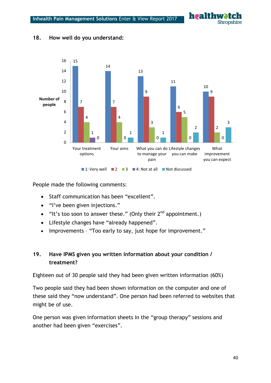



#### **18. How well do you understand:**

People made the following comments:

- Staff communication has been "excellent".
- "I've been given injections."
- $\bullet$  "It's too soon to answer these." (Only their 2<sup>nd</sup> appointment.)
- Lifestyle changes have "already happened".
- Improvements "Too early to say, just hope for improvement."

#### **19. Have IPMS given you written information about your condition / treatment?**

Eighteen out of 30 people said they had been given written information (60%)

Two people said they had been shown information on the computer and one of these said they "now understand". One person had been referred to websites that might be of use.

One person was given information sheets in the "group therapy" sessions and another had been given "exercises".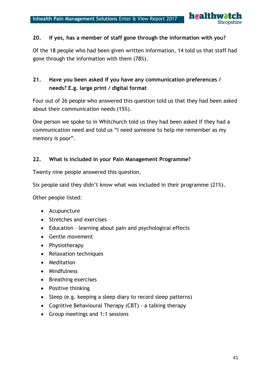

#### **20. If yes, has a member of staff gone through the information with you?**

Of the 18 people who had been given written information, 14 told us that staff had gone through the information with them (78%).

# **21. Have you been asked if you have any communication preferences / needs? E.g. large print / digital format**

Four out of 26 people who answered this question told us that they had been asked about their communication needs (15%).

One person we spoke to in Whitchurch told us they had been asked if they had a communication need and told us "I need someone to help me remember as my memory is poor".

#### **22. What is included in your Pain Management Programme?**

Twenty nine people answered this question.

Six people said they didn't know what was included in their programme (21%).

Other people listed:

- Acupuncture
- Stretches and exercises
- Education learning about pain and psychological effects
- Gentle movement
- Physiotherapy
- Relaxation techniques
- Meditation
- Mindfulness
- Breathing exercises
- Positive thinking
- Sleep (e.g. keeping a sleep diary to record sleep patterns)
- Cognitive Behavioural Therapy (CBT) a talking therapy
- Group meetings and 1:1 sessions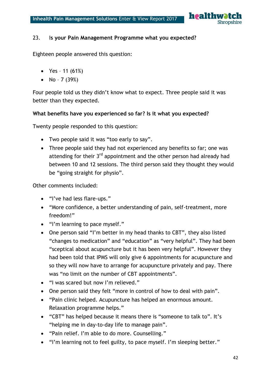

#### 23. I**s your Pain Management Programme what you expected?**

Eighteen people answered this question:

- Yes 11  $(61%)$
- No  $7(39%)$

Four people told us they didn't know what to expect. Three people said it was better than they expected.

#### **What benefits have you experienced so far? Is it what you expected?**

Twenty people responded to this question:

- Two people said it was "too early to say".
- Three people said they had not experienced any benefits so far; one was attending for their  $3<sup>rd</sup>$  appointment and the other person had already had between 10 and 12 sessions. The third person said they thought they would be "going straight for physio".

Other comments included:

- "I've had less flare-ups."
- "More confidence, a better understanding of pain, self-treatment, more freedom!"
- "I'm learning to pace myself."
- One person said "I'm better in my head thanks to CBT", they also listed "changes to medication" and "education" as "very helpful". They had been "sceptical about acupuncture but it has been very helpful". However they had been told that IPMS will only give 6 appointments for acupuncture and so they will now have to arrange for acupuncture privately and pay. There was "no limit on the number of CBT appointments".
- "I was scared but now I'm relieved."
- One person said they felt "more in control of how to deal with pain".
- "Pain clinic helped. Acupuncture has helped an enormous amount. Relaxation programme helps."
- "CBT" has helped because it means there is "someone to talk to". It's "helping me in day-to-day life to manage pain".
- "Pain relief. I'm able to do more. Counselling."
- "I'm learning not to feel guilty, to pace myself. I'm sleeping better."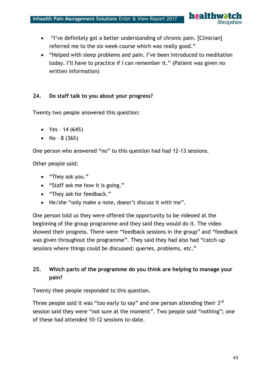

- "I've definitely got a better understanding of chronic pain. [Clinician] referred me to the six week course which was really good."
- "Helped with sleep problems and pain. I've been introduced to meditation today. I'll have to practice if I can remember it." (Patient was given no written information)

#### **24. Do staff talk to you about your progress?**

Twenty two people answered this question:

- Yes 14  $(64%)$
- No  $8(36%)$

One person who answered "no" to this question had had 12-13 sessions.

Other people said:

- "They ask you."
- "Staff ask me how it is going."
- "They ask for feedback."
- He/she "only make a note, doesn't discuss it with me".

One person told us they were offered the opportunity to be videoed at the beginning of the group programme and they said they would do it. The video showed their progress. There were "feedback sessions in the group" and "feedback was given throughout the programme". They said they had also had "catch-up sessions where things could be discussed; queries, problems, etc."

# **25. Which parts of the programme do you think are helping to manage your pain?**

Twenty thee people responded to this question.

Three people said it was "too early to say" and one person attending their 3<sup>rd</sup> session said they were "not sure at the moment". Two people said "nothing"; one of these had attended 10-12 sessions to-date.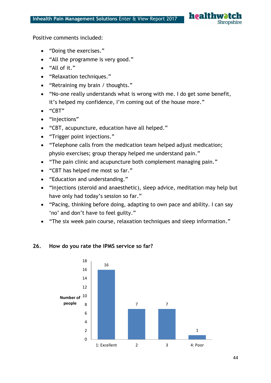

Positive comments included:

- "Doing the exercises."
- "All the programme is very good."
- "All of it."
- "Relaxation techniques."
- "Retraining my brain / thoughts."
- "No-one really understands what is wrong with me. I do get some benefit, it's helped my confidence, I'm coming out of the house more."
- "CBT"
- "Injections"
- "CBT, acupuncture, education have all helped."
- "Trigger point injections."
- "Telephone calls from the medication team helped adjust medication; physio exercises; group therapy helped me understand pain."
- "The pain clinic and acupuncture both complement managing pain."
- "CBT has helped me most so far."
- "Education and understanding."
- "Injections (steroid and anaesthetic), sleep advice, meditation may help but have only had today's session so far."
- "Pacing, thinking before doing, adapting to own pace and ability. I can say 'no' and don't have to feel guilty."
- "The six week pain course, relaxation techniques and sleep information."



#### **26. How do you rate the IPMS service so far?**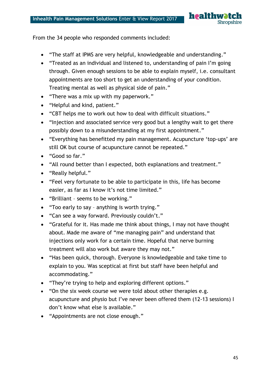healthw **Shropshire** 

From the 34 people who responded comments included:

- "The staff at IPMS are very helpful, knowledgeable and understanding."
- "Treated as an individual and listened to, understanding of pain I'm going through. Given enough sessions to be able to explain myself, i.e. consultant appointments are too short to get an understanding of your condition. Treating mental as well as physical side of pain."
- "There was a mix up with my paperwork."
- "Helpful and kind, patient."
- "CBT helps me to work out how to deal with difficult situations."
- "Injection and associated service very good but a lengthy wait to get there possibly down to a misunderstanding at my first appointment."
- "Everything has benefitted my pain management. Acupuncture 'top-ups' are still OK but course of acupuncture cannot be repeated."
- "Good so far."
- "All round better than I expected, both explanations and treatment."
- "Really helpful."
- "Feel very fortunate to be able to participate in this, life has become easier, as far as I know it's not time limited."
- "Brilliant seems to be working."
- "Too early to say anything is worth trying."
- "Can see a way forward. Previously couldn't."
- "Grateful for it. Has made me think about things, I may not have thought about. Made me aware of "me managing pain" and understand that injections only work for a certain time. Hopeful that nerve burning treatment will also work but aware they may not."
- "Has been quick, thorough. Everyone is knowledgeable and take time to explain to you. Was sceptical at first but staff have been helpful and accommodating."
- "They're trying to help and exploring different options."
- "On the six week course we were told about other therapies e.g. acupuncture and physio but I've never been offered them (12-13 sessions) I don't know what else is available."
- "Appointments are not close enough."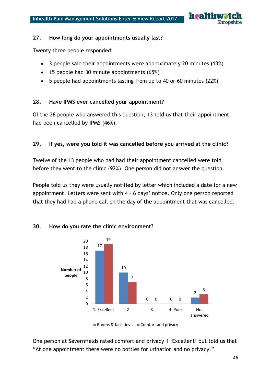

#### **27. How long do your appointments usually last?**

Twenty three people responded:

- 3 people said their appointments were approximately 20 minutes (13%)
- 15 people had 30 minute appointments (65%)
- 5 people had appointments lasting from up to 40 or 60 minutes (22%)

#### **28. Have IPMS ever cancelled your appointment?**

Of the 28 people who answered this question, 13 told us that their appointment had been cancelled by IPMS (46%).

#### **29. If yes, were you told it was cancelled before you arrived at the clinic?**

Twelve of the 13 people who had had their appointment cancelled were told before they went to the clinic (92%). One person did not answer the question.

People told us they were usually notified by letter which included a date for a new appointment. Letters were sent with 4 – 6 days' notice. Only one person reported that they had had a phone call on the day of the appointment that was cancelled.



#### **30. How do you rate the clinic environment?**

One person at Severnfields rated comfort and privacy 1 'Excellent' but told us that "At one appointment there were no bottles for urination and no privacy."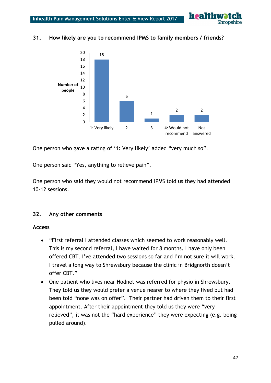

#### 18 6 1 2 2 0 2 4 6 8 10 12 14 16 18 20 1: Very likely 2 3 4: Would not recommend answered Not **Number of people**

#### **31. How likely are you to recommend IPMS to family members / friends?**

One person who gave a rating of '1: Very likely' added "very much so".

One person said "Yes, anything to relieve pain".

One person who said they would not recommend IPMS told us they had attended 10-12 sessions.

#### **32. Any other comments**

#### **Access**

- "First referral I attended classes which seemed to work reasonably well. This is my second referral, I have waited for 8 months. I have only been offered CBT. I've attended two sessions so far and I'm not sure it will work. I travel a long way to Shrewsbury because the clinic in Bridgnorth doesn't offer CBT."
- One patient who lives near Hodnet was referred for physio in Shrewsbury. They told us they would prefer a venue nearer to where they lived but had been told "none was on offer". Their partner had driven them to their first appointment. After their appointment they told us they were "very relieved", it was not the "hard experience" they were expecting (e.g. being pulled around).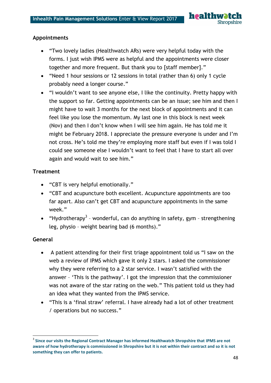#### **Appointments**

- "Two lovely ladies (Healthwatch ARs) were very helpful today with the forms. I just wish IPMS were as helpful and the appointments were closer together and more frequent. But thank you to [staff member]."
- "Need 1 hour sessions or 12 sessions in total (rather than 6) only 1 cycle probably need a longer course."
- "I wouldn't want to see anyone else, I like the continuity. Pretty happy with the support so far. Getting appointments can be an issue; see him and then I might have to wait 3 months for the next block of appointments and it can feel like you lose the momentum. My last one in this block is next week (Nov) and then I don't know when I will see him again. He has told me it might be February 2018. I appreciate the pressure everyone is under and I'm not cross. He's told me they're employing more staff but even if I was told I could see someone else I wouldn't want to feel that I have to start all over again and would wait to see him."

#### **Treatment**

- "CBT is very helpful emotionally."
- "CBT and acupuncture both excellent. Acupuncture appointments are too far apart. Also can't get CBT and acupuncture appointments in the same week."
- "Hydrotherapy<sup>3</sup> wonderful, can do anything in safety, gym strengthening leg, physio – weight bearing bad (6 months)."

#### **General**

**.** 

- A patient attending for their first triage appointment told us "I saw on the web a review of IPMS which gave it only 2 stars. I asked the commissioner why they were referring to a 2 star service. I wasn't satisfied with the answer – 'This is the pathway'. I got the impression that the commissioner was not aware of the star rating on the web." This patient told us they had an idea what they wanted from the IPMS service.
- "This is a 'final straw' referral. I have already had a lot of other treatment / operations but no success."

<sup>3</sup> **Since our visits the Regional Contract Manager has informed Healthwatch Shropshire that IPMS are not aware of how hydrotherapy is commissioned in Shropshire but it is not within their contract and so it is not something they can offer to patients.**